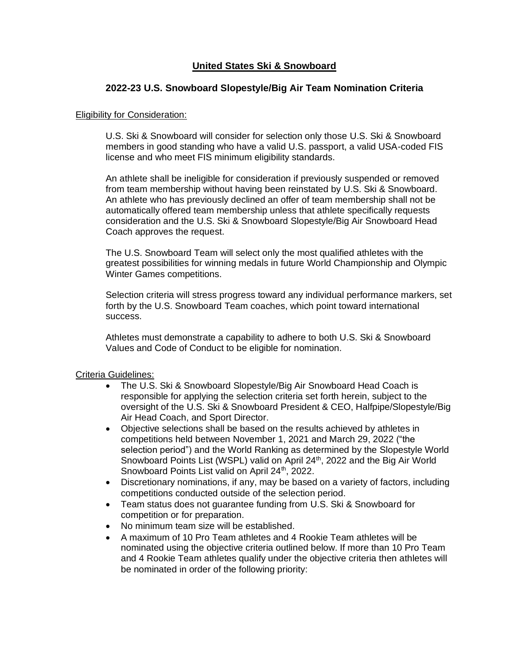# **United States Ski & Snowboard**

## **2022-23 U.S. Snowboard Slopestyle/Big Air Team Nomination Criteria**

#### **Eligibility for Consideration:**

U.S. Ski & Snowboard will consider for selection only those U.S. Ski & Snowboard members in good standing who have a valid U.S. passport, a valid USA-coded FIS license and who meet FIS minimum eligibility standards.

An athlete shall be ineligible for consideration if previously suspended or removed from team membership without having been reinstated by U.S. Ski & Snowboard. An athlete who has previously declined an offer of team membership shall not be automatically offered team membership unless that athlete specifically requests consideration and the U.S. Ski & Snowboard Slopestyle/Big Air Snowboard Head Coach approves the request.

The U.S. Snowboard Team will select only the most qualified athletes with the greatest possibilities for winning medals in future World Championship and Olympic Winter Games competitions.

Selection criteria will stress progress toward any individual performance markers, set forth by the U.S. Snowboard Team coaches, which point toward international success.

Athletes must demonstrate a capability to adhere to both U.S. Ski & Snowboard Values and Code of Conduct to be eligible for nomination.

#### Criteria Guidelines:

- The U.S. Ski & Snowboard Slopestyle/Big Air Snowboard Head Coach is responsible for applying the selection criteria set forth herein, subject to the oversight of the U.S. Ski & Snowboard President & CEO, Halfpipe/Slopestyle/Big Air Head Coach, and Sport Director.
- Objective selections shall be based on the results achieved by athletes in competitions held between November 1, 2021 and March 29, 2022 ("the selection period") and the World Ranking as determined by the Slopestyle World Snowboard Points List (WSPL) valid on April 24<sup>th</sup>, 2022 and the Big Air World Snowboard Points List valid on April 24<sup>th</sup>, 2022.
- Discretionary nominations, if any, may be based on a variety of factors, including competitions conducted outside of the selection period.
- Team status does not guarantee funding from U.S. Ski & Snowboard for competition or for preparation.
- No minimum team size will be established.
- A maximum of 10 Pro Team athletes and 4 Rookie Team athletes will be nominated using the objective criteria outlined below. If more than 10 Pro Team and 4 Rookie Team athletes qualify under the objective criteria then athletes will be nominated in order of the following priority: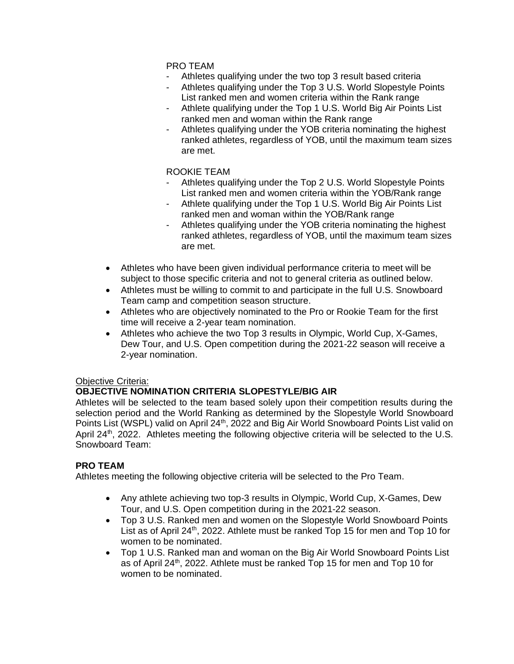## PRO TEAM

- Athletes qualifying under the two top 3 result based criteria
- Athletes qualifying under the Top 3 U.S. World Slopestyle Points List ranked men and women criteria within the Rank range
- Athlete qualifying under the Top 1 U.S. World Big Air Points List ranked men and woman within the Rank range
- Athletes qualifying under the YOB criteria nominating the highest ranked athletes, regardless of YOB, until the maximum team sizes are met.

#### ROOKIE TEAM

- Athletes qualifying under the Top 2 U.S. World Slopestyle Points List ranked men and women criteria within the YOB/Rank range
- Athlete qualifying under the Top 1 U.S. World Big Air Points List ranked men and woman within the YOB/Rank range
- Athletes qualifying under the YOB criteria nominating the highest ranked athletes, regardless of YOB, until the maximum team sizes are met.
- Athletes who have been given individual performance criteria to meet will be subject to those specific criteria and not to general criteria as outlined below.
- Athletes must be willing to commit to and participate in the full U.S. Snowboard Team camp and competition season structure.
- Athletes who are objectively nominated to the Pro or Rookie Team for the first time will receive a 2-year team nomination.
- Athletes who achieve the two Top 3 results in Olympic, World Cup, X-Games, Dew Tour, and U.S. Open competition during the 2021-22 season will receive a 2-year nomination.

## Objective Criteria:

## **OBJECTIVE NOMINATION CRITERIA SLOPESTYLE/BIG AIR**

Athletes will be selected to the team based solely upon their competition results during the selection period and the World Ranking as determined by the Slopestyle World Snowboard Points List (WSPL) valid on April 24<sup>th</sup>, 2022 and Big Air World Snowboard Points List valid on April  $24<sup>th</sup>$ , 2022. Athletes meeting the following objective criteria will be selected to the U.S. Snowboard Team:

## **PRO TEAM**

Athletes meeting the following objective criteria will be selected to the Pro Team.

- Any athlete achieving two top-3 results in Olympic, World Cup, X-Games, Dew Tour, and U.S. Open competition during in the 2021-22 season.
- Top 3 U.S. Ranked men and women on the Slopestyle World Snowboard Points List as of April 24<sup>th</sup>, 2022. Athlete must be ranked Top 15 for men and Top 10 for women to be nominated.
- Top 1 U.S. Ranked man and woman on the Big Air World Snowboard Points List as of April 24<sup>th</sup>, 2022. Athlete must be ranked Top 15 for men and Top 10 for women to be nominated.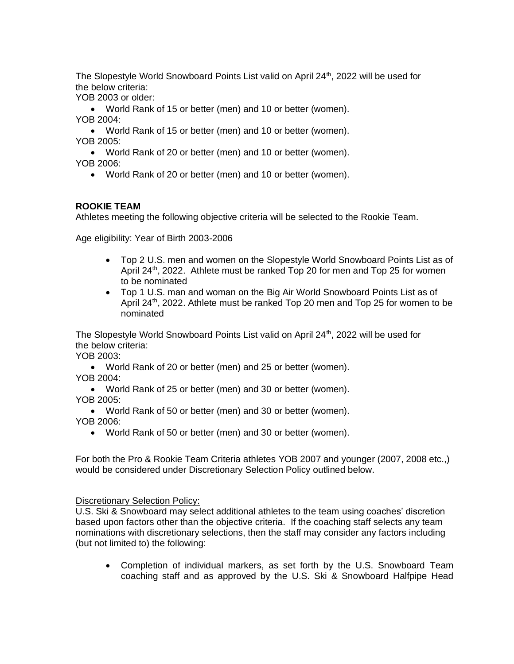The Slopestyle World Snowboard Points List valid on April 24<sup>th</sup>, 2022 will be used for the below criteria:

YOB 2003 or older:

• World Rank of 15 or better (men) and 10 or better (women). YOB 2004:

• World Rank of 15 or better (men) and 10 or better (women). YOB 2005:

• World Rank of 20 or better (men) and 10 or better (women). YOB 2006:

• World Rank of 20 or better (men) and 10 or better (women).

## **ROOKIE TEAM**

Athletes meeting the following objective criteria will be selected to the Rookie Team.

Age eligibility: Year of Birth 2003-2006

- Top 2 U.S. men and women on the Slopestyle World Snowboard Points List as of April 24<sup>th</sup>, 2022. Athlete must be ranked Top 20 for men and Top 25 for women to be nominated
- Top 1 U.S. man and woman on the Big Air World Snowboard Points List as of April 24<sup>th</sup>, 2022. Athlete must be ranked Top 20 men and Top 25 for women to be nominated

The Slopestyle World Snowboard Points List valid on April 24<sup>th</sup>, 2022 will be used for the below criteria:

YOB 2003:

• World Rank of 20 or better (men) and 25 or better (women). YOB 2004:

• World Rank of 25 or better (men) and 30 or better (women). YOB 2005:

• World Rank of 50 or better (men) and 30 or better (women). YOB 2006:

• World Rank of 50 or better (men) and 30 or better (women).

For both the Pro & Rookie Team Criteria athletes YOB 2007 and younger (2007, 2008 etc.,) would be considered under Discretionary Selection Policy outlined below.

Discretionary Selection Policy:

U.S. Ski & Snowboard may select additional athletes to the team using coaches' discretion based upon factors other than the objective criteria. If the coaching staff selects any team nominations with discretionary selections, then the staff may consider any factors including (but not limited to) the following:

• Completion of individual markers, as set forth by the U.S. Snowboard Team coaching staff and as approved by the U.S. Ski & Snowboard Halfpipe Head